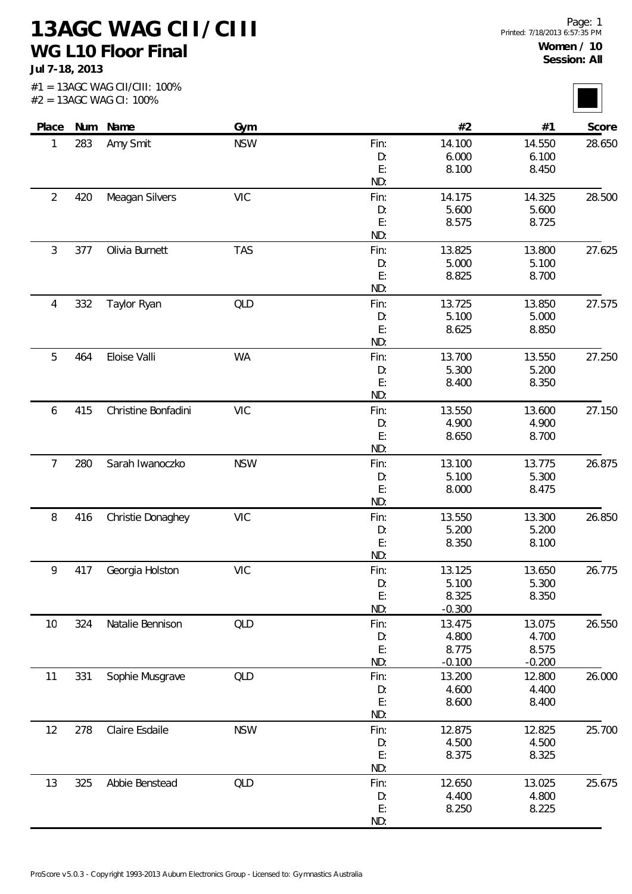**13AGC WAG CII/CIII WG L10 Floor Final**

**Jul 7-18, 2013**

| Place          |     | Num Name            | Gym        |           | #2             | #1             | Score  |
|----------------|-----|---------------------|------------|-----------|----------------|----------------|--------|
| 1              | 283 | Amy Smit            | <b>NSW</b> | Fin:      | 14.100         | 14.550         | 28.650 |
|                |     |                     |            | D:        | 6.000          | 6.100          |        |
|                |     |                     |            | E:        | 8.100          | 8.450          |        |
|                |     |                     |            | ND:       |                |                |        |
| $\overline{2}$ | 420 | Meagan Silvers      | <b>VIC</b> | Fin:      | 14.175         | 14.325         | 28.500 |
|                |     |                     |            | D:<br>E:  | 5.600          | 5.600          |        |
|                |     |                     |            | ND:       | 8.575          | 8.725          |        |
| 3              | 377 | Olivia Burnett      | <b>TAS</b> | Fin:      | 13.825         | 13.800         | 27.625 |
|                |     |                     |            | D:        | 5.000          | 5.100          |        |
|                |     |                     |            | E:        | 8.825          | 8.700          |        |
|                |     |                     |            | ND:       |                |                |        |
| 4              | 332 | Taylor Ryan         | QLD        | Fin:      | 13.725         | 13.850         | 27.575 |
|                |     |                     |            | D:        | 5.100          | 5.000          |        |
|                |     |                     |            | E:        | 8.625          | 8.850          |        |
|                |     |                     |            | ND:       |                |                |        |
| 5              | 464 | Eloise Valli        | WA         | Fin:      | 13.700         | 13.550         | 27.250 |
|                |     |                     |            | D:        | 5.300          | 5.200          |        |
|                |     |                     |            | E:<br>ND: | 8.400          | 8.350          |        |
| 6              | 415 | Christine Bonfadini | <b>VIC</b> | Fin:      | 13.550         | 13.600         | 27.150 |
|                |     |                     |            | D:        | 4.900          | 4.900          |        |
|                |     |                     |            | E:        | 8.650          | 8.700          |        |
|                |     |                     |            | ND:       |                |                |        |
| 7              | 280 | Sarah Iwanoczko     | <b>NSW</b> | Fin:      | 13.100         | 13.775         | 26.875 |
|                |     |                     |            | D:        | 5.100          | 5.300          |        |
|                |     |                     |            | E:        | 8.000          | 8.475          |        |
|                |     |                     |            | ND:       |                |                |        |
| 8              | 416 | Christie Donaghey   | <b>VIC</b> | Fin:      | 13.550         | 13.300         | 26.850 |
|                |     |                     |            | D:        | 5.200          | 5.200          |        |
|                |     |                     |            | E:<br>ND: | 8.350          | 8.100          |        |
| 9              | 417 | Georgia Holston     | <b>VIC</b> | Fin:      | 13.125         | 13.650         | 26.775 |
|                |     |                     |            | D:        | 5.100          | 5.300          |        |
|                |     |                     |            | E:        | 8.325          | 8.350          |        |
|                |     |                     |            | ND:       | $-0.300$       |                |        |
| 10             | 324 | Natalie Bennison    | <b>QLD</b> | Fin:      | 13.475         | 13.075         | 26.550 |
|                |     |                     |            | D:        | 4.800          | 4.700          |        |
|                |     |                     |            | E:        | 8.775          | 8.575          |        |
|                |     |                     |            | ND:       | $-0.100$       | $-0.200$       |        |
| 11             | 331 | Sophie Musgrave     | <b>QLD</b> | Fin:      | 13.200         | 12.800         | 26.000 |
|                |     |                     |            | D:<br>E:  | 4.600<br>8.600 | 4.400<br>8.400 |        |
|                |     |                     |            | ND:       |                |                |        |
| 12             | 278 | Claire Esdaile      | <b>NSW</b> | Fin:      | 12.875         | 12.825         | 25.700 |
|                |     |                     |            | D:        | 4.500          | 4.500          |        |
|                |     |                     |            | E:        | 8.375          | 8.325          |        |
|                |     |                     |            | ND:       |                |                |        |
| 13             | 325 | Abbie Benstead      | <b>QLD</b> | Fin:      | 12.650         | 13.025         | 25.675 |
|                |     |                     |            | D:        | 4.400          | 4.800          |        |
|                |     |                     |            | E:        | 8.250          | 8.225          |        |
|                |     |                     |            | ND:       |                |                |        |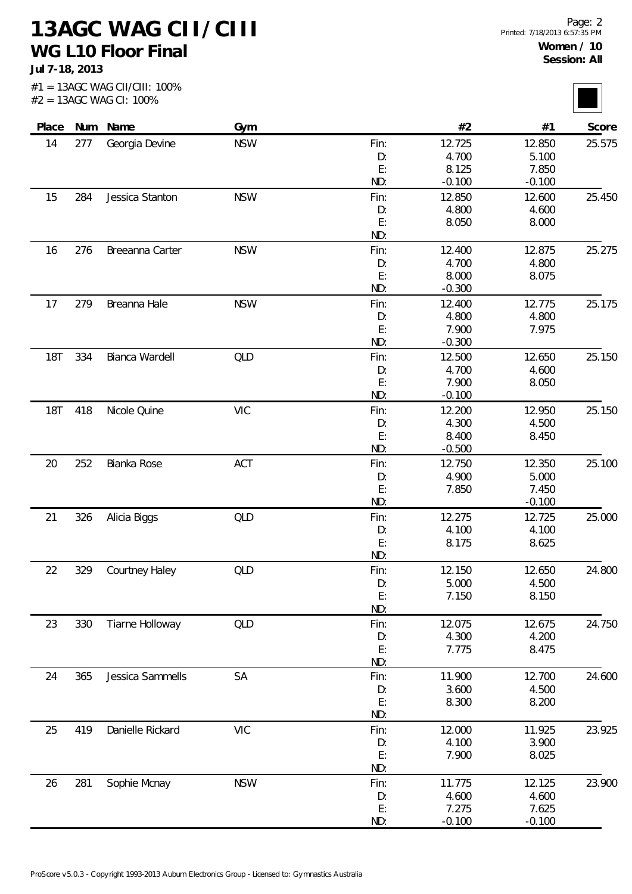**13AGC WAG CII/CIII WG L10 Floor Final**

**Jul 7-18, 2013**

| Place      |     | Num Name         | Gym        |          | #2             | #1       | Score  |
|------------|-----|------------------|------------|----------|----------------|----------|--------|
| 14         | 277 | Georgia Devine   | <b>NSW</b> | Fin:     | 12.725         | 12.850   | 25.575 |
|            |     |                  |            | D:       | 4.700          | 5.100    |        |
|            |     |                  |            | E:       | 8.125          | 7.850    |        |
|            |     |                  |            | ND:      | $-0.100$       | $-0.100$ |        |
| 15         | 284 | Jessica Stanton  | <b>NSW</b> | Fin:     | 12.850         | 12.600   | 25.450 |
|            |     |                  |            | D:       | 4.800          | 4.600    |        |
|            |     |                  |            | E:       | 8.050          | 8.000    |        |
|            |     |                  |            | ND:      |                |          |        |
| 16         | 276 | Breeanna Carter  | <b>NSW</b> | Fin:     | 12.400         | 12.875   | 25.275 |
|            |     |                  |            | D:       | 4.700          | 4.800    |        |
|            |     |                  |            | E:       | 8.000          | 8.075    |        |
|            |     |                  |            | ND:      | $-0.300$       |          |        |
| 17         | 279 | Breanna Hale     | <b>NSW</b> | Fin:     | 12.400         | 12.775   | 25.175 |
|            |     |                  |            | D:       | 4.800          | 4.800    |        |
|            |     |                  |            | E:       | 7.900          | 7.975    |        |
|            |     |                  |            | ND:      | $-0.300$       |          |        |
| <b>18T</b> | 334 | Bianca Wardell   | QLD        | Fin:     | 12.500         | 12.650   | 25.150 |
|            |     |                  |            | D:       | 4.700          | 4.600    |        |
|            |     |                  |            | E:       | 7.900          | 8.050    |        |
|            |     |                  |            | ND:      | $-0.100$       |          |        |
| <b>18T</b> | 418 | Nicole Quine     | <b>VIC</b> | Fin:     | 12.200         | 12.950   | 25.150 |
|            |     |                  |            | D:       | 4.300          | 4.500    |        |
|            |     |                  |            | E:       | 8.400          | 8.450    |        |
|            |     |                  |            | ND:      | $-0.500$       |          |        |
| 20         | 252 | Bianka Rose      | ACT        | Fin:     | 12.750         | 12.350   | 25.100 |
|            |     |                  |            | D:       | 4.900          | 5.000    |        |
|            |     |                  |            | E:       | 7.850          | 7.450    |        |
|            |     |                  |            | ND:      |                | $-0.100$ |        |
| 21         | 326 |                  | QLD        | Fin:     | 12.275         | 12.725   | 25.000 |
|            |     | Alicia Biggs     |            | D:       | 4.100          | 4.100    |        |
|            |     |                  |            | E:       | 8.175          | 8.625    |        |
|            |     |                  |            | ND:      |                |          |        |
| 22         | 329 | Courtney Haley   | QLD        | Fin:     | 12.150         | 12.650   | 24.800 |
|            |     |                  |            | D:       | 5.000          | 4.500    |        |
|            |     |                  |            | E:       | 7.150          | 8.150    |        |
|            |     |                  |            | ND:      |                |          |        |
| 23         | 330 | Tiarne Holloway  | QLD        | Fin:     | 12.075         | 12.675   | 24.750 |
|            |     |                  |            | D:       | 4.300          | 4.200    |        |
|            |     |                  |            | E:       | 7.775          | 8.475    |        |
|            |     |                  |            | ND:      |                |          |        |
| 24         | 365 | Jessica Sammells | SA         | Fin:     | 11.900         | 12.700   | 24.600 |
|            |     |                  |            | D:       | 3.600          | 4.500    |        |
|            |     |                  |            | E:       | 8.300          | 8.200    |        |
|            |     |                  |            | ND:      |                |          |        |
| 25         | 419 | Danielle Rickard | <b>VIC</b> | Fin:     | 12.000         | 11.925   | 23.925 |
|            |     |                  |            | D:       | 4.100          | 3.900    |        |
|            |     |                  |            | E:       | 7.900          | 8.025    |        |
|            |     |                  |            | ND:      |                |          |        |
|            |     |                  |            |          |                |          |        |
| 26         | 281 | Sophie Mcnay     | <b>NSW</b> | Fin:     | 11.775         | 12.125   | 23.900 |
|            |     |                  |            | D:<br>E: | 4.600<br>7.275 | 4.600    |        |
|            |     |                  |            |          |                | 7.625    |        |